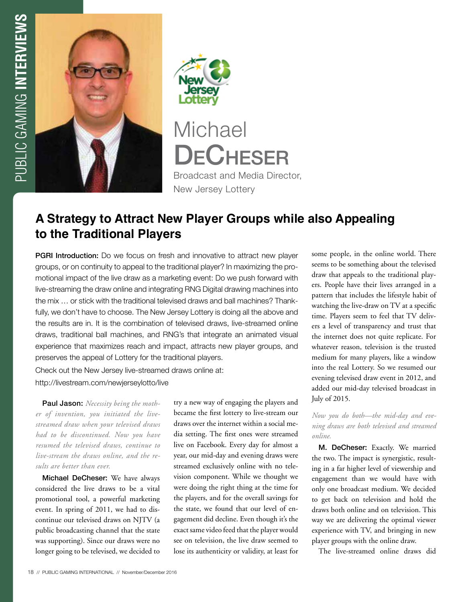



Broadcast and Media Director, New Jersey Lottery

# **A Strategy to Attract New Player Groups while also Appealing to the Traditional Players**

PGRI Introduction: Do we focus on fresh and innovative to attract new player groups, or on continuity to appeal to the traditional player? In maximizing the promotional impact of the live draw as a marketing event: Do we push forward with live-streaming the draw online and integrating RNG Digital drawing machines into the mix … or stick with the traditional televised draws and ball machines? Thankfully, we don't have to choose. The New Jersey Lottery is doing all the above and the results are in. It is the combination of televised draws, live-streamed online draws, traditional ball machines, and RNG's that integrate an animated visual experience that maximizes reach and impact, attracts new player groups, and preserves the appeal of Lottery for the traditional players.

Check out the New Jersey live-streamed draws online at: http://livestream.com/newjerseylotto/live

Paul Jason: *Necessity being the mother of invention, you initiated the livestreamed draw when your televised draws had to be discontinued. Now you have resumed the televised draws, continue to live-stream the draws online, and the results are better than ever.*

Michael DeCheser: We have always considered the live draws to be a vital promotional tool, a powerful marketing event. In spring of 2011, we had to discontinue our televised draws on NJTV (a public broadcasting channel that the state was supporting). Since our draws were no longer going to be televised, we decided to

try a new way of engaging the players and became the first lottery to live-stream our draws over the internet within a social media setting. The first ones were streamed live on Facebook. Every day for almost a year, our mid-day and evening draws were streamed exclusively online with no television component. While we thought we were doing the right thing at the time for the players, and for the overall savings for the state, we found that our level of engagement did decline. Even though it's the exact same video feed that the player would see on television, the live draw seemed to lose its authenticity or validity, at least for

some people, in the online world. There seems to be something about the televised draw that appeals to the traditional players. People have their lives arranged in a pattern that includes the lifestyle habit of watching the live-draw on TV at a specific time. Players seem to feel that TV delivers a level of transparency and trust that the internet does not quite replicate. For whatever reason, television is the trusted medium for many players, like a window into the real Lottery. So we resumed our evening televised draw event in 2012, and added our mid-day televised broadcast in July of 2015.

#### *Now you do both—the mid-day and evening draws are both televised and streamed online.*

M. DeCheser: Exactly. We married the two. The impact is synergistic, resulting in a far higher level of viewership and engagement than we would have with only one broadcast medium. We decided to get back on television and hold the draws both online and on television. This way we are delivering the optimal viewer experience with TV, and bringing in new player groups with the online draw.

The live-streamed online draws did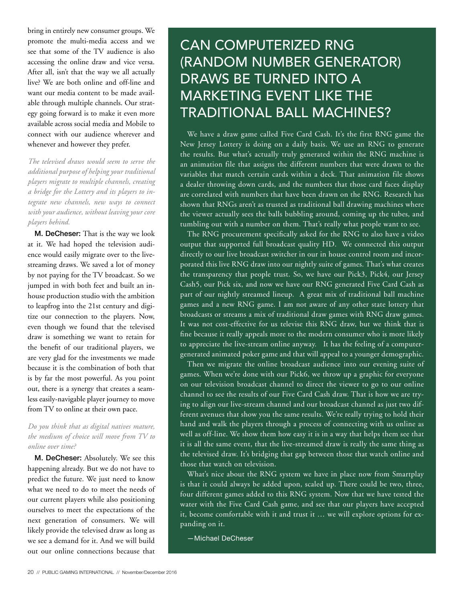bring in entirely new consumer groups. We promote the multi-media access and we see that some of the TV audience is also accessing the online draw and vice versa. After all, isn't that the way we all actually live? We are both online and off-line and want our media content to be made available through multiple channels. Our strategy going forward is to make it even more available across social media and Mobile to connect with our audience wherever and whenever and however they prefer.

*The televised draws would seem to serve the additional purpose of helping your traditional players migrate to multiple channels, creating a bridge for the Lottery and its players to integrate new channels, new ways to connect with your audience, without leaving your core players behind.* 

M. DeCheser: That is the way we look at it. We had hoped the television audience would easily migrate over to the livestreaming draws. We saved a lot of money by not paying for the TV broadcast. So we jumped in with both feet and built an inhouse production studio with the ambition to leapfrog into the 21st century and digitize our connection to the players. Now, even though we found that the televised draw is something we want to retain for the benefit of our traditional players, we are very glad for the investments we made because it is the combination of both that is by far the most powerful. As you point out, there is a synergy that creates a seamless easily-navigable player journey to move from TV to online at their own pace.

#### *Do you think that as digital natives mature, the medium of choice will move from TV to online over time?*

M. DeCheser: Absolutely. We see this happening already. But we do not have to predict the future. We just need to know what we need to do to meet the needs of our current players while also positioning ourselves to meet the expectations of the next generation of consumers. We will likely provide the televised draw as long as we see a demand for it. And we will build out our online connections because that

# CAN COMPUTERIZED RNG (RANDOM NUMBER GENERATOR) DRAWS BE TURNED INTO A MARKETING EVENT LIKE THE TRADITIONAL BALL MACHINES?

We have a draw game called Five Card Cash. It's the first RNG game the New Jersey Lottery is doing on a daily basis. We use an RNG to generate the results. But what's actually truly generated within the RNG machine is an animation file that assigns the different numbers that were drawn to the variables that match certain cards within a deck. That animation file shows a dealer throwing down cards, and the numbers that those card faces display are correlated with numbers that have been drawn on the RNG. Research has shown that RNGs aren't as trusted as traditional ball drawing machines where the viewer actually sees the balls bubbling around, coming up the tubes, and tumbling out with a number on them. That's really what people want to see.

The RNG procurement specifically asked for the RNG to also have a video output that supported full broadcast quality HD. We connected this output directly to our live broadcast switcher in our in house control room and incorporated this live RNG draw into our nightly suite of games. That's what creates the transparency that people trust. So, we have our Pick3, Pick4, our Jersey Cash5, our Pick six, and now we have our RNG generated Five Card Cash as part of our nightly streamed lineup. A great mix of traditional ball machine games and a new RNG game. I am not aware of any other state lottery that broadcasts or streams a mix of traditional draw games with RNG draw games. It was not cost-effective for us televise this RNG draw, but we think that is fine because it really appeals more to the modern consumer who is more likely to appreciate the live-stream online anyway. It has the feeling of a computergenerated animated poker game and that will appeal to a younger demographic.

Then we migrate the online broadcast audience into our evening suite of games. When we're done with our Pick6, we throw up a graphic for everyone on our television broadcast channel to direct the viewer to go to our online channel to see the results of our Five Card Cash draw. That is how we are trying to align our live-stream channel and our broadcast channel as just two different avenues that show you the same results. We're really trying to hold their hand and walk the players through a process of connecting with us online as well as off-line. We show them how easy it is in a way that helps them see that it is all the same event, that the live-streamed draw is really the same thing as the televised draw. It's bridging that gap between those that watch online and those that watch on television.

What's nice about the RNG system we have in place now from Smartplay is that it could always be added upon, scaled up. There could be two, three, four different games added to this RNG system. Now that we have tested the water with the Five Card Cash game, and see that our players have accepted it, become comfortable with it and trust it … we will explore options for expanding on it.

—Michael DeCheser